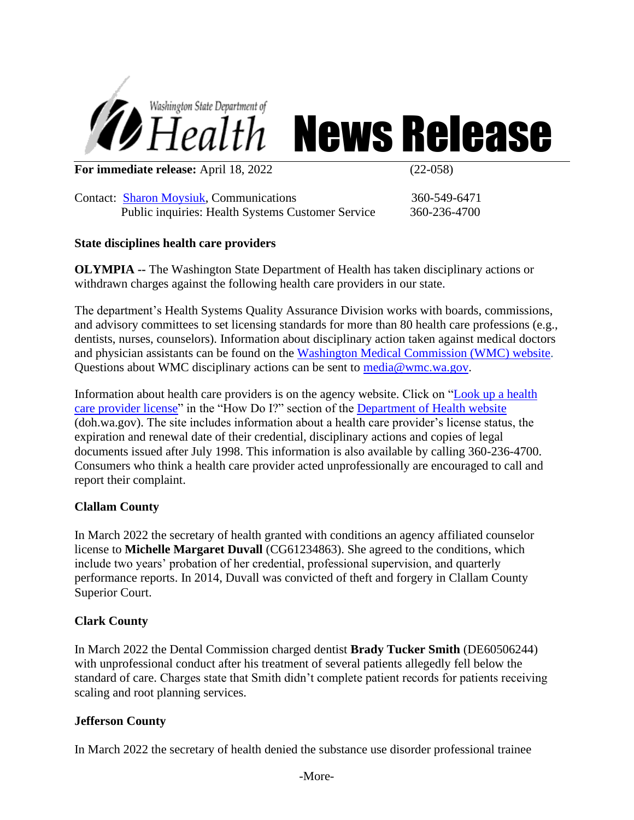

# *Health* News Release

**For immediate release:** April 18, 2022 (22-058)

Contact: [Sharon Moysiuk,](mailto:Sharon.moysiuk@doh.wa.gov) Communications 360-549-6471 Public inquiries: Health Systems Customer Service 360-236-4700

## **State disciplines health care providers**

**OLYMPIA --** The Washington State Department of Health has taken disciplinary actions or withdrawn charges against the following health care providers in our state.

The department's Health Systems Quality Assurance Division works with boards, commissions, and advisory committees to set licensing standards for more than 80 health care professions (e.g., dentists, nurses, counselors). Information about disciplinary action taken against medical doctors and physician assistants can be found on the [Washington Medical Commission \(WMC\) website.](http://www.wmc.wa.gov/) Questions about WMC disciplinary actions can be sent to [media@wmc.wa.gov.](mailto:media@wmc.wa.gov)

Information about health care providers is on the agency website. Click on ["Look up a health](https://fortress.wa.gov/doh/providercredentialsearch/)  [care provider license"](https://fortress.wa.gov/doh/providercredentialsearch/) in the "How Do I?" section of the [Department of Health website](http://www.doh.wa.gov/Home.aspx) (doh.wa.gov). The site includes information about a health care provider's license status, the expiration and renewal date of their credential, disciplinary actions and copies of legal documents issued after July 1998. This information is also available by calling 360-236-4700. Consumers who think a health care provider acted unprofessionally are encouraged to call and report their complaint.

# **Clallam County**

In March 2022 the secretary of health granted with conditions an agency affiliated counselor license to **Michelle Margaret Duvall** (CG61234863). She agreed to the conditions, which include two years' probation of her credential, professional supervision, and quarterly performance reports. In 2014, Duvall was convicted of theft and forgery in Clallam County Superior Court.

#### **Clark County**

In March 2022 the Dental Commission charged dentist **Brady Tucker Smith** (DE60506244) with unprofessional conduct after his treatment of several patients allegedly fell below the standard of care. Charges state that Smith didn't complete patient records for patients receiving scaling and root planning services.

# **Jefferson County**

In March 2022 the secretary of health denied the substance use disorder professional trainee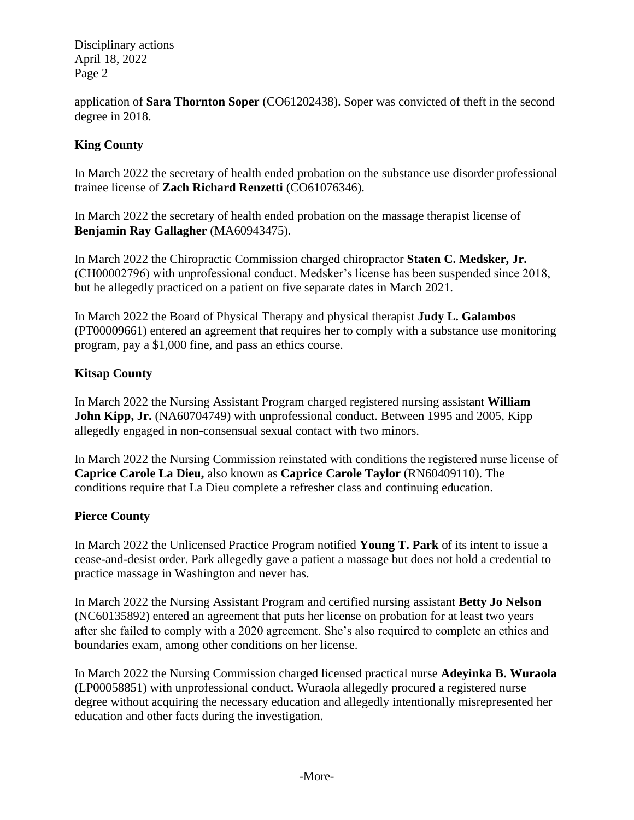Disciplinary actions April 18, 2022 Page 2

application of **Sara Thornton Soper** (CO61202438). Soper was convicted of theft in the second degree in 2018.

# **King County**

In March 2022 the secretary of health ended probation on the substance use disorder professional trainee license of **Zach Richard Renzetti** (CO61076346).

In March 2022 the secretary of health ended probation on the massage therapist license of **Benjamin Ray Gallagher** (MA60943475).

In March 2022 the Chiropractic Commission charged chiropractor **Staten C. Medsker, Jr.**  (CH00002796) with unprofessional conduct. Medsker's license has been suspended since 2018, but he allegedly practiced on a patient on five separate dates in March 2021.

In March 2022 the Board of Physical Therapy and physical therapist **Judy L. Galambos** (PT00009661) entered an agreement that requires her to comply with a substance use monitoring program, pay a \$1,000 fine, and pass an ethics course.

## **Kitsap County**

In March 2022 the Nursing Assistant Program charged registered nursing assistant **William John Kipp, Jr.** (NA60704749) with unprofessional conduct. Between 1995 and 2005, Kipp allegedly engaged in non-consensual sexual contact with two minors.

In March 2022 the Nursing Commission reinstated with conditions the registered nurse license of **Caprice Carole La Dieu,** also known as **Caprice Carole Taylor** (RN60409110). The conditions require that La Dieu complete a refresher class and continuing education.

#### **Pierce County**

In March 2022 the Unlicensed Practice Program notified **Young T. Park** of its intent to issue a cease-and-desist order. Park allegedly gave a patient a massage but does not hold a credential to practice massage in Washington and never has.

In March 2022 the Nursing Assistant Program and certified nursing assistant **Betty Jo Nelson** (NC60135892) entered an agreement that puts her license on probation for at least two years after she failed to comply with a 2020 agreement. She's also required to complete an ethics and boundaries exam, among other conditions on her license.

In March 2022 the Nursing Commission charged licensed practical nurse **Adeyinka B. Wuraola** (LP00058851) with unprofessional conduct. Wuraola allegedly procured a registered nurse degree without acquiring the necessary education and allegedly intentionally misrepresented her education and other facts during the investigation.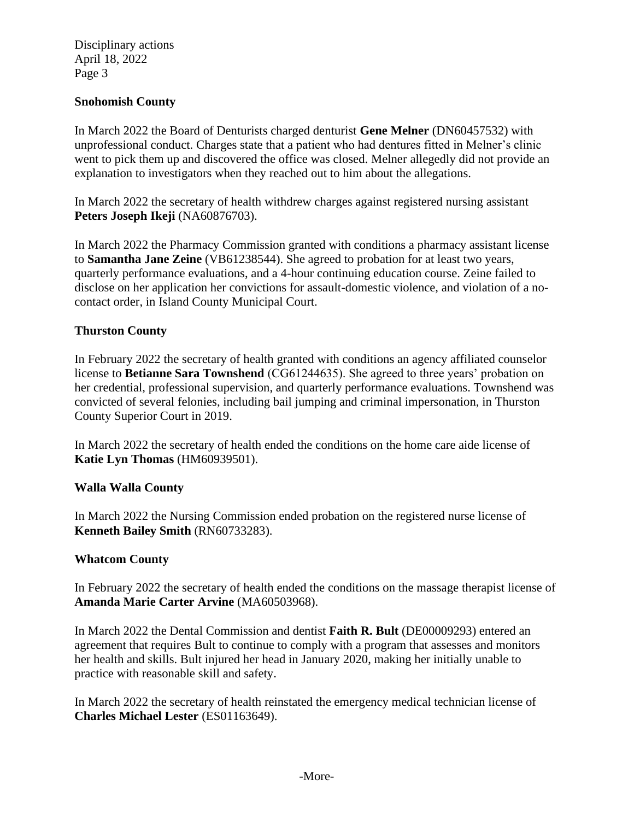Disciplinary actions April 18, 2022 Page 3

#### **Snohomish County**

In March 2022 the Board of Denturists charged denturist **Gene Melner** (DN60457532) with unprofessional conduct. Charges state that a patient who had dentures fitted in Melner's clinic went to pick them up and discovered the office was closed. Melner allegedly did not provide an explanation to investigators when they reached out to him about the allegations.

In March 2022 the secretary of health withdrew charges against registered nursing assistant **Peters Joseph Ikeji** (NA60876703).

In March 2022 the Pharmacy Commission granted with conditions a pharmacy assistant license to **Samantha Jane Zeine** (VB61238544). She agreed to probation for at least two years, quarterly performance evaluations, and a 4-hour continuing education course. Zeine failed to disclose on her application her convictions for assault-domestic violence, and violation of a nocontact order, in Island County Municipal Court.

## **Thurston County**

In February 2022 the secretary of health granted with conditions an agency affiliated counselor license to **Betianne Sara Townshend** (CG61244635). She agreed to three years' probation on her credential, professional supervision, and quarterly performance evaluations. Townshend was convicted of several felonies, including bail jumping and criminal impersonation, in Thurston County Superior Court in 2019.

In March 2022 the secretary of health ended the conditions on the home care aide license of **Katie Lyn Thomas** (HM60939501).

#### **Walla Walla County**

In March 2022 the Nursing Commission ended probation on the registered nurse license of **Kenneth Bailey Smith** (RN60733283).

#### **Whatcom County**

In February 2022 the secretary of health ended the conditions on the massage therapist license of **Amanda Marie Carter Arvine** (MA60503968).

In March 2022 the Dental Commission and dentist **Faith R. Bult** (DE00009293) entered an agreement that requires Bult to continue to comply with a program that assesses and monitors her health and skills. Bult injured her head in January 2020, making her initially unable to practice with reasonable skill and safety.

In March 2022 the secretary of health reinstated the emergency medical technician license of **Charles Michael Lester** (ES01163649).